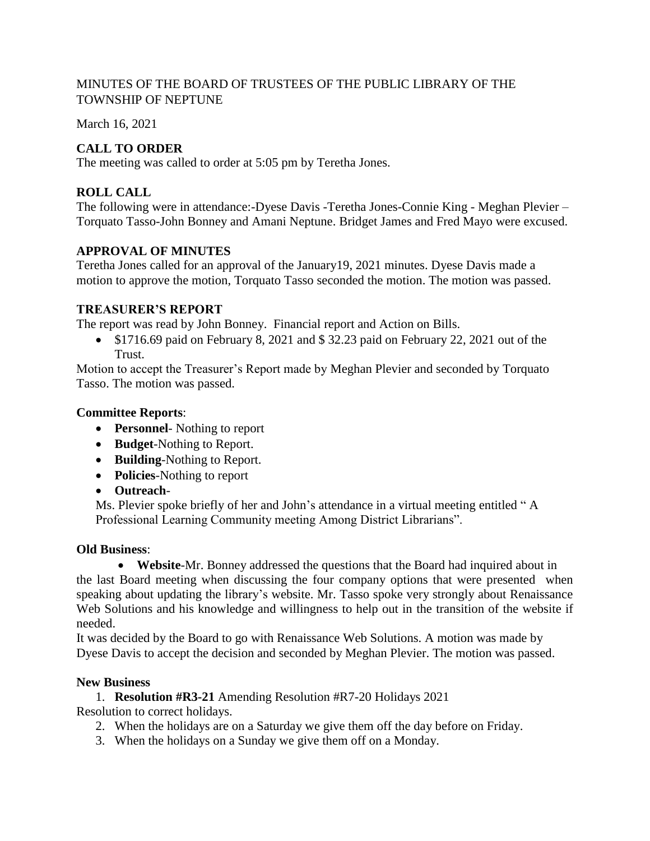## MINUTES OF THE BOARD OF TRUSTEES OF THE PUBLIC LIBRARY OF THE TOWNSHIP OF NEPTUNE

March 16, 2021

# **CALL TO ORDER**

The meeting was called to order at 5:05 pm by Teretha Jones.

## **ROLL CALL**

The following were in attendance:-Dyese Davis -Teretha Jones-Connie King - Meghan Plevier – Torquato Tasso-John Bonney and Amani Neptune. Bridget James and Fred Mayo were excused.

#### **APPROVAL OF MINUTES**

Teretha Jones called for an approval of the January19, 2021 minutes. Dyese Davis made a motion to approve the motion, Torquato Tasso seconded the motion. The motion was passed.

## **TREASURER'S REPORT**

The report was read by John Bonney. Financial report and Action on Bills.

 $\bullet$  \$1716.69 paid on February 8, 2021 and \$32.23 paid on February 22, 2021 out of the Trust.

Motion to accept the Treasurer's Report made by Meghan Plevier and seconded by Torquato Tasso. The motion was passed.

#### **Committee Reports**:

- **• Personnel** Nothing to report
- **Budget**-Nothing to Report.
- **Building**-Nothing to Report.
- **Policies**-Nothing to report
- **Outreach**-

Ms. Plevier spoke briefly of her and John's attendance in a virtual meeting entitled " A Professional Learning Community meeting Among District Librarians".

#### **Old Business**:

 **Website**-Mr. Bonney addressed the questions that the Board had inquired about in the last Board meeting when discussing the four company options that were presented when speaking about updating the library's website. Mr. Tasso spoke very strongly about Renaissance Web Solutions and his knowledge and willingness to help out in the transition of the website if needed.

It was decided by the Board to go with Renaissance Web Solutions. A motion was made by Dyese Davis to accept the decision and seconded by Meghan Plevier. The motion was passed.

#### **New Business**

1. **Resolution #R3-21** Amending Resolution #R7-20 Holidays 2021

Resolution to correct holidays.

- 2. When the holidays are on a Saturday we give them off the day before on Friday.
- 3. When the holidays on a Sunday we give them off on a Monday.